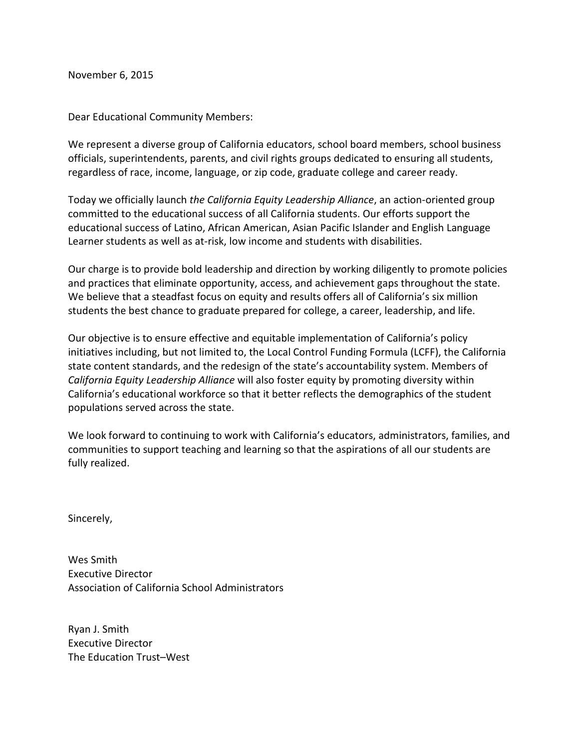November 6, 2015

Dear Educational Community Members:

We represent a diverse group of California educators, school board members, school business officials, superintendents, parents, and civil rights groups dedicated to ensuring all students, regardless of race, income, language, or zip code, graduate college and career ready.

Today we officially launch *the California Equity Leadership Alliance*, an action-oriented group committed to the educational success of all California students. Our efforts support the educational success of Latino, African American, Asian Pacific Islander and English Language Learner students as well as at-risk, low income and students with disabilities.

Our charge is to provide bold leadership and direction by working diligently to promote policies and practices that eliminate opportunity, access, and achievement gaps throughout the state. We believe that a steadfast focus on equity and results offers all of California's six million students the best chance to graduate prepared for college, a career, leadership, and life.

Our objective is to ensure effective and equitable implementation of California's policy initiatives including, but not limited to, the Local Control Funding Formula (LCFF), the California state content standards, and the redesign of the state's accountability system. Members of *California Equity Leadership Alliance* will also foster equity by promoting diversity within California's educational workforce so that it better reflects the demographics of the student populations served across the state.

We look forward to continuing to work with California's educators, administrators, families, and communities to support teaching and learning so that the aspirations of all our students are fully realized.

Sincerely,

Wes Smith Executive Director Association of California School Administrators

Ryan J. Smith Executive Director The Education Trust–West